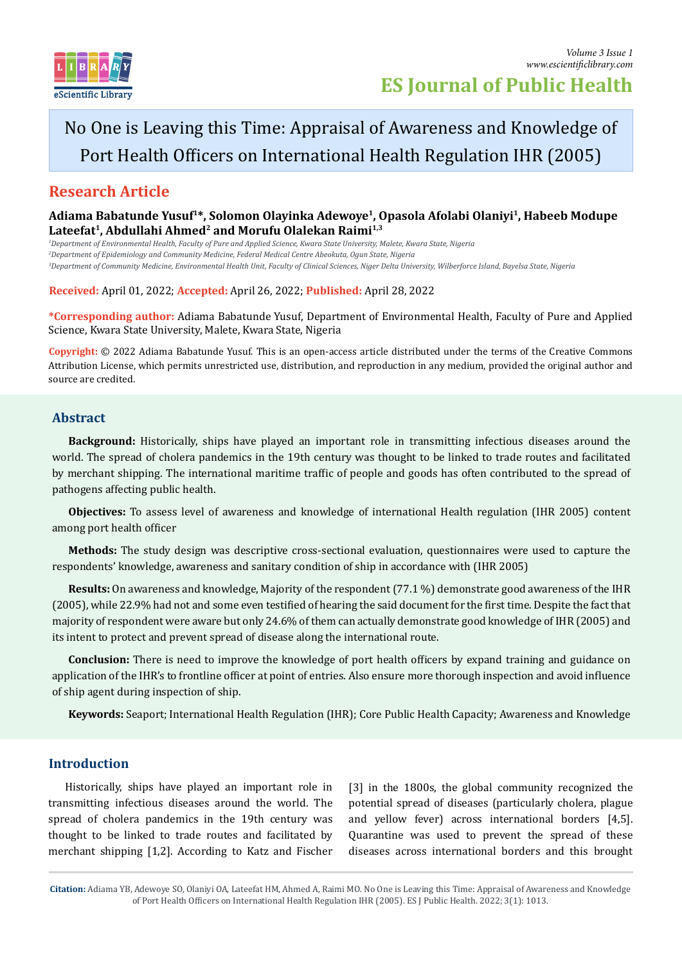

# No One is Leaving this Time: Appraisal of Awareness and Knowledge of Port Health Officers on International Health Regulation IHR (2005)

## **Research Article**

**Adiama Babatunde Yusuf1\*, Solomon Olayinka Adewoye1, Opasola Afolabi Olaniyi1, Habeeb Modupe**  Lateefat<sup>1</sup>, Abdullahi Ahmed<sup>2</sup> and Morufu Olalekan Raimi<sup>1,3</sup>

*1 Department of Environmental Health, Faculty of Pure and Applied Science, Kwara State University, Malete, Kwara State, Nigeria 2 Department of Epidemiology and Community Medicine, Federal Medical Centre Abeokuta, Ogun State, Nigeria 3 Department of Community Medicine, Environmental Health Unit, Faculty of Clinical Sciences, Niger Delta University, Wilberforce Island, Bayelsa State, Nigeria*

**Received:** April 01, 2022; **Accepted:** April 26, 2022; **Published:** April 28, 2022

**\*Corresponding author:** Adiama Babatunde Yusuf, Department of Environmental Health, Faculty of Pure and Applied Science, Kwara State University, Malete, Kwara State, Nigeria

**Copyright:** © 2022 Adiama Babatunde Yusuf. This is an open-access article distributed under the terms of the Creative Commons Attribution License, which permits unrestricted use, distribution, and reproduction in any medium, provided the original author and source are credited.

## **Abstract**

**Background:** Historically, ships have played an important role in transmitting infectious diseases around the world. The spread of cholera pandemics in the 19th century was thought to be linked to trade routes and facilitated by merchant shipping. The international maritime traffic of people and goods has often contributed to the spread of pathogens affecting public health.

**Objectives:** To assess level of awareness and knowledge of international Health regulation (IHR 2005) content among port health officer

**Methods:** The study design was descriptive cross-sectional evaluation, questionnaires were used to capture the respondents' knowledge, awareness and sanitary condition of ship in accordance with (IHR 2005)

**Results:** On awareness and knowledge, Majority of the respondent (77.1 %) demonstrate good awareness of the IHR (2005), while 22.9% had not and some even testified of hearing the said document for the first time. Despite the fact that majority of respondent were aware but only 24.6% of them can actually demonstrate good knowledge of IHR (2005) and its intent to protect and prevent spread of disease along the international route.

**Conclusion:** There is need to improve the knowledge of port health officers by expand training and guidance on application of the IHR's to frontline officer at point of entries. Also ensure more thorough inspection and avoid influence of ship agent during inspection of ship.

**Keywords:** Seaport; International Health Regulation (IHR); Core Public Health Capacity; Awareness and Knowledge

## **Introduction**

Historically, ships have played an important role in transmitting infectious diseases around the world. The spread of cholera pandemics in the 19th century was thought to be linked to trade routes and facilitated by merchant shipping [1,2]. According to Katz and Fischer

[3] in the 1800s, the global community recognized the potential spread of diseases (particularly cholera, plague and yellow fever) across international borders [4,5]. Quarantine was used to prevent the spread of these diseases across international borders and this brought

**Citation:** Adiama YB, Adewoye SO, Olaniyi OA, Lateefat HM, Ahmed A, Raimi MO. No One is Leaving this Time: Appraisal of Awareness and Knowledge of Port Health Officers on International Health Regulation IHR (2005). ES J Public Health. 2022; 3(1): 1013.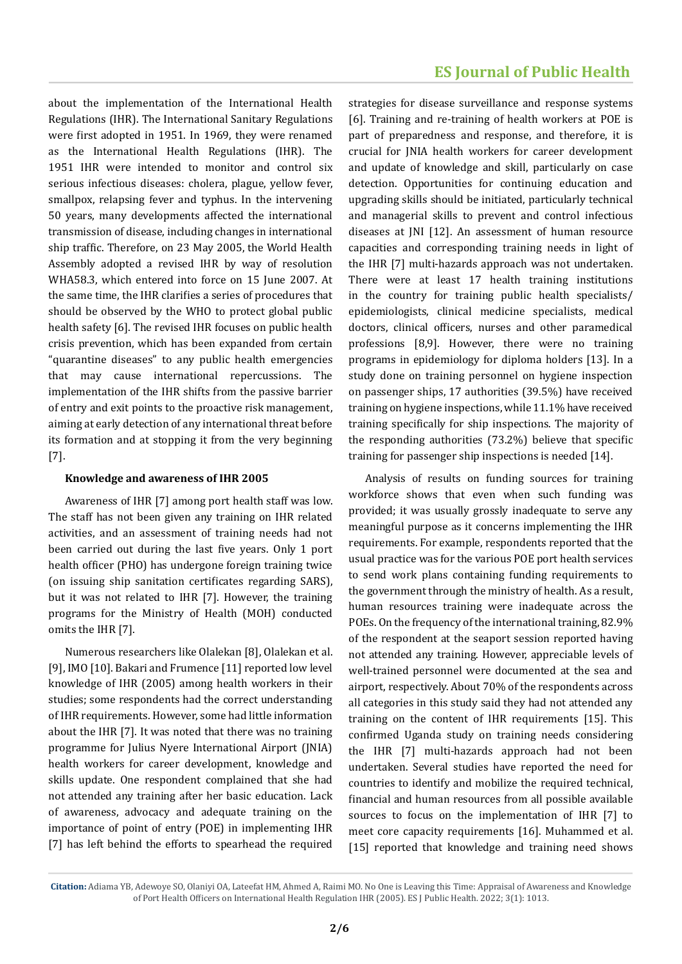about the implementation of the International Health Regulations (IHR). The International Sanitary Regulations were first adopted in 1951. In 1969, they were renamed as the International Health Regulations (IHR). The 1951 IHR were intended to monitor and control six serious infectious diseases: cholera, plague, yellow fever, smallpox, relapsing fever and typhus. In the intervening 50 years, many developments affected the international transmission of disease, including changes in international ship traffic. Therefore, on 23 May 2005, the World Health Assembly adopted a revised IHR by way of resolution WHA58.3, which entered into force on 15 June 2007. At the same time, the IHR clarifies a series of procedures that should be observed by the WHO to protect global public health safety [6]. The revised IHR focuses on public health crisis prevention, which has been expanded from certain "quarantine diseases" to any public health emergencies that may cause international repercussions. The implementation of the IHR shifts from the passive barrier of entry and exit points to the proactive risk management, aiming at early detection of any international threat before its formation and at stopping it from the very beginning [7].

#### **Knowledge and awareness of IHR 2005**

Awareness of IHR [7] among port health staff was low. The staff has not been given any training on IHR related activities, and an assessment of training needs had not been carried out during the last five years. Only 1 port health officer (PHO) has undergone foreign training twice (on issuing ship sanitation certificates regarding SARS), but it was not related to IHR [7]. However, the training programs for the Ministry of Health (MOH) conducted omits the IHR [7].

Numerous researchers like Olalekan [8], Olalekan et al. [9], IMO [10]. Bakari and Frumence [11] reported low level knowledge of IHR (2005) among health workers in their studies; some respondents had the correct understanding of IHR requirements. However, some had little information about the IHR [7]. It was noted that there was no training programme for Julius Nyere International Airport (JNIA) health workers for career development, knowledge and skills update. One respondent complained that she had not attended any training after her basic education. Lack of awareness, advocacy and adequate training on the importance of point of entry (POE) in implementing IHR [7] has left behind the efforts to spearhead the required

strategies for disease surveillance and response systems [6]. Training and re-training of health workers at POE is part of preparedness and response, and therefore, it is crucial for JNIA health workers for career development and update of knowledge and skill, particularly on case detection. Opportunities for continuing education and upgrading skills should be initiated, particularly technical and managerial skills to prevent and control infectious diseases at JNI [12]. An assessment of human resource capacities and corresponding training needs in light of the IHR [7] multi-hazards approach was not undertaken. There were at least 17 health training institutions in the country for training public health specialists/ epidemiologists, clinical medicine specialists, medical doctors, clinical officers, nurses and other paramedical professions [8,9]. However, there were no training programs in epidemiology for diploma holders [13]. In a study done on training personnel on hygiene inspection on passenger ships, 17 authorities (39.5%) have received training on hygiene inspections, while 11.1% have received training specifically for ship inspections. The majority of the responding authorities (73.2%) believe that specific training for passenger ship inspections is needed [14].

Analysis of results on funding sources for training workforce shows that even when such funding was provided; it was usually grossly inadequate to serve any meaningful purpose as it concerns implementing the IHR requirements. For example, respondents reported that the usual practice was for the various POE port health services to send work plans containing funding requirements to the government through the ministry of health. As a result, human resources training were inadequate across the POEs. On the frequency of the international training, 82.9% of the respondent at the seaport session reported having not attended any training. However, appreciable levels of well-trained personnel were documented at the sea and airport, respectively. About 70% of the respondents across all categories in this study said they had not attended any training on the content of IHR requirements [15]. This confirmed Uganda study on training needs considering the IHR [7] multi-hazards approach had not been undertaken. Several studies have reported the need for countries to identify and mobilize the required technical, financial and human resources from all possible available sources to focus on the implementation of IHR [7] to meet core capacity requirements [16]. Muhammed et al. [15] reported that knowledge and training need shows

**Citation:** Adiama YB, Adewoye SO, Olaniyi OA, Lateefat HM, Ahmed A, Raimi MO. No One is Leaving this Time: Appraisal of Awareness and Knowledge of Port Health Officers on International Health Regulation IHR (2005). ES J Public Health. 2022; 3(1): 1013.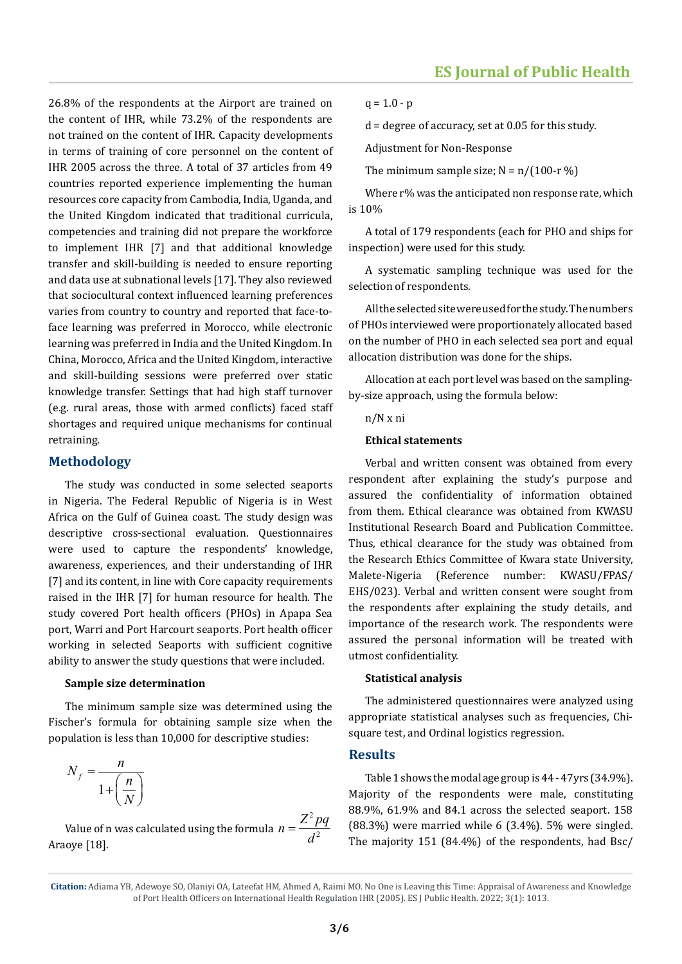26.8% of the respondents at the Airport are trained on the content of IHR, while 73.2% of the respondents are not trained on the content of IHR. Capacity developments in terms of training of core personnel on the content of IHR 2005 across the three. A total of 37 articles from 49 countries reported experience implementing the human resources core capacity from Cambodia, India, Uganda, and the United Kingdom indicated that traditional curricula, competencies and training did not prepare the workforce to implement IHR [7] and that additional knowledge transfer and skill-building is needed to ensure reporting and data use at subnational levels [17]. They also reviewed that sociocultural context influenced learning preferences varies from country to country and reported that face-toface learning was preferred in Morocco, while electronic learning was preferred in India and the United Kingdom. In China, Morocco, Africa and the United Kingdom, interactive and skill-building sessions were preferred over static knowledge transfer. Settings that had high staff turnover (e.g. rural areas, those with armed conflicts) faced staff shortages and required unique mechanisms for continual retraining.

#### **Methodology**

The study was conducted in some selected seaports in Nigeria. The Federal Republic of Nigeria is in West Africa on the Gulf of Guinea coast. The study design was descriptive cross-sectional evaluation. Questionnaires were used to capture the respondents' knowledge, awareness, experiences, and their understanding of IHR [7] and its content, in line with Core capacity requirements raised in the IHR [7] for human resource for health. The study covered Port health officers (PHOs) in Apapa Sea port, Warri and Port Harcourt seaports. Port health officer working in selected Seaports with sufficient cognitive ability to answer the study questions that were included.

#### **Sample size determination**

The minimum sample size was determined using the Fischer's formula for obtaining sample size when the population is less than 10,000 for descriptive studies:

$$
N_f = \frac{n}{1 + \left(\frac{n}{N}\right)}
$$

Value of n was calculated using the formula  $n = \frac{Z^2 pq}{d^2}$ Araoye [18].

 $q = 1.0 - p$ 

d = degree of accuracy, set at 0.05 for this study.

Adjustment for Non-Response

The minimum sample size:  $N = n/(100-r\%)$ 

Where r% was the anticipated non response rate, which is 10%

A total of 179 respondents (each for PHO and ships for inspection) were used for this study.

A systematic sampling technique was used for the selection of respondents.

All the selected site were used for the study. The numbers of PHOs interviewed were proportionately allocated based on the number of PHO in each selected sea port and equal allocation distribution was done for the ships.

Allocation at each port level was based on the samplingby-size approach, using the formula below:

#### n/N x ni

#### **Ethical statements**

Verbal and written consent was obtained from every respondent after explaining the study's purpose and assured the confidentiality of information obtained from them. Ethical clearance was obtained from KWASU Institutional Research Board and Publication Committee. Thus, ethical clearance for the study was obtained from the Research Ethics Committee of Kwara state University, Malete-Nigeria (Reference number: KWASU/FPAS/ EHS/023). Verbal and written consent were sought from the respondents after explaining the study details, and importance of the research work. The respondents were assured the personal information will be treated with utmost confidentiality.

#### **Statistical analysis**

The administered questionnaires were analyzed using appropriate statistical analyses such as frequencies, Chisquare test, and Ordinal logistics regression.

#### **Results**

Table 1 shows the modal age group is 44 - 47yrs (34.9%). Majority of the respondents were male, constituting 88.9%, 61.9% and 84.1 across the selected seaport. 158 (88.3%) were married while 6 (3.4%). 5% were singled. The majority 151 (84.4%) of the respondents, had Bsc/

2

**Citation:** Adiama YB, Adewoye SO, Olaniyi OA, Lateefat HM, Ahmed A, Raimi MO. No One is Leaving this Time: Appraisal of Awareness and Knowledge of Port Health Officers on International Health Regulation IHR (2005). ES J Public Health. 2022; 3(1): 1013.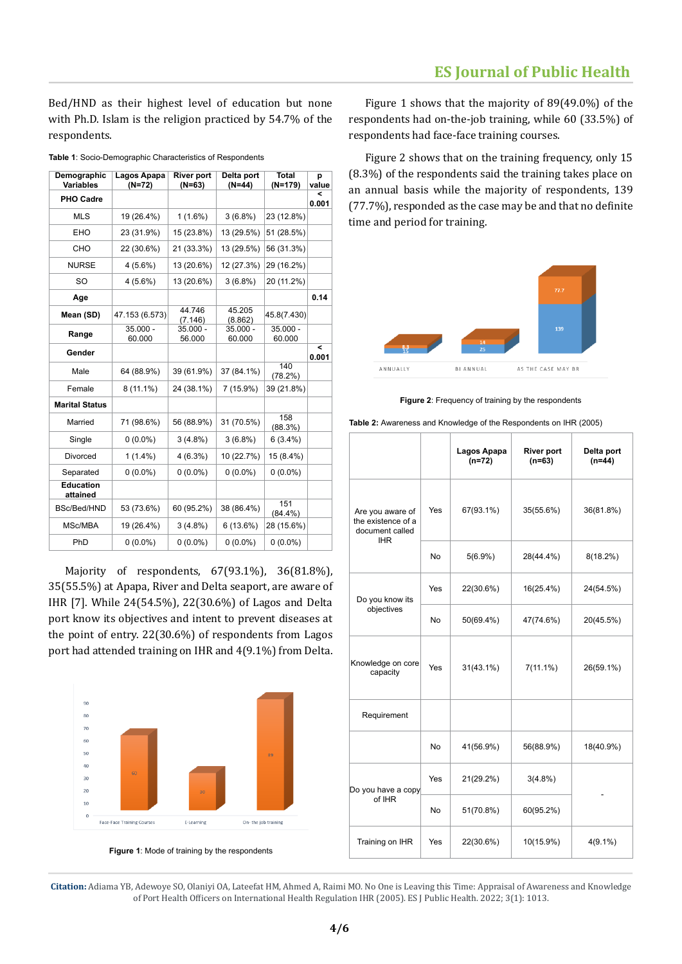Bed/HND as their highest level of education but none with Ph.D. Islam is the religion practiced by 54.7% of the respondents.

| Demographic<br><b>Variables</b> | Lagos Apapa<br>$(N=72)$ | <b>River port</b><br>$(N=63)$ | Delta port<br>$(N=44)$ | <b>Total</b><br>$(N=179)$ | р<br>value |
|---------------------------------|-------------------------|-------------------------------|------------------------|---------------------------|------------|
| <b>PHO Cadre</b>                |                         |                               |                        |                           | <<br>0.001 |
| <b>MLS</b>                      | 19 (26.4%)              | $1(1.6\%)$                    | 3(6.8%)                | 23 (12.8%)                |            |
| EHO                             | 23 (31.9%)              | 15 (23.8%)                    | 13 (29.5%)             | 51 (28.5%)                |            |
| CHO                             | 22 (30.6%)              | 21 (33.3%)                    | 13 (29.5%)             | 56 (31.3%)                |            |
| <b>NURSE</b>                    | $4(5.6\%)$              | 13 (20.6%)                    | 12 (27.3%)             | 29 (16.2%)                |            |
| <b>SO</b>                       | $4(5.6\%)$              | 13 (20.6%)                    | $3(6.8\%)$             | 20 (11.2%)                |            |
| Age                             |                         |                               |                        |                           | 0.14       |
| Mean (SD)                       | 47.153 (6.573)          | 44.746<br>(7.146)             | 45.205<br>(8.862)      | 45.8(7.430)               |            |
| Range                           | $35.000 -$<br>60.000    | $35.000 -$<br>56.000          | $35.000 -$<br>60.000   | $35.000 -$<br>60.000      |            |
| Gender                          |                         |                               |                        |                           | <<br>0.001 |
| Male                            | 64 (88.9%)              | 39 (61.9%)                    | 37 (84.1%)             | 140<br>(78.2%)            |            |
| Female                          | $8(11.1\%)$             | 24 (38.1%)                    | 7 (15.9%)              | 39 (21.8%)                |            |
| <b>Marital Status</b>           |                         |                               |                        |                           |            |
| Married                         | 71 (98.6%)              | 56 (88.9%)                    | 31 (70.5%)             | 158<br>(88.3%)            |            |
| Single                          | $0(0.0\%)$              | $3(4.8\%)$                    | 3(6.8%)                | $6(3.4\%)$                |            |
| Divorced                        | $1(1.4\%)$              | 4(6.3%)                       | 10 (22.7%)             | 15 (8.4%)                 |            |
| Separated                       | $0(0.0\%)$              | $0(0.0\%)$                    | $0(0.0\%)$             | $0(0.0\%)$                |            |
| <b>Education</b><br>attained    |                         |                               |                        |                           |            |
| BSc/Bed/HND                     | 53 (73.6%)              | 60 (95.2%)                    | 38 (86.4%)             | 151<br>$(84.4\%)$         |            |
| MSc/MBA                         | 19 (26.4%)              | $3(4.8\%)$                    | 6(13.6%)               | 28 (15.6%)                |            |
| PhD                             | $0(0.0\%)$              | $0(0.0\%)$                    | $0(0.0\%)$             | $0(0.0\%)$                |            |

**Table 1**: Socio-Demographic Characteristics of Respondents

Majority of respondents, 67(93.1%), 36(81.8%), 35(55.5%) at Apapa, River and Delta seaport, are aware of IHR [7]. While 24(54.5%), 22(30.6%) of Lagos and Delta port know its objectives and intent to prevent diseases at the point of entry. 22(30.6%) of respondents from Lagos port had attended training on IHR and 4(9.1%) from Delta.



**Figure 1**: Mode of training by the respondents

Figure 1 shows that the majority of 89(49.0%) of the respondents had on-the-job training, while 60 (33.5%) of respondents had face-face training courses.

Figure 2 shows that on the training frequency, only 15 (8.3%) of the respondents said the training takes place on an annual basis while the majority of respondents, 139 (77.7%), responded as the case may be and that no definite time and period for training.



**Figure 2**: Frequency of training by the respondents

| Table 2: Awareness and Knowledge of the Respondents on IHR (2005) |  |  |
|-------------------------------------------------------------------|--|--|
|-------------------------------------------------------------------|--|--|

|                                                                         |           | Lagos Apapa<br>$(n=72)$ | <b>River port</b><br>$(n=63)$ | Delta port<br>$(n=44)$ |
|-------------------------------------------------------------------------|-----------|-------------------------|-------------------------------|------------------------|
| Are you aware of<br>the existence of a<br>document called<br><b>IHR</b> | Yes       | 67(93.1%)               | 35(55.6%)                     | 36(81.8%)              |
|                                                                         | <b>No</b> | $5(6.9\%)$              | 28(44.4%)                     | $8(18.2\%)$            |
| Do you know its                                                         | Yes       | 22(30.6%)               | 16(25.4%)                     | 24(54.5%)              |
| objectives                                                              | No        | 50(69.4%)               | 47(74.6%)                     | 20(45.5%)              |
| Knowledge on core<br>capacity                                           | Yes       | $31(43.1\%)$            | $7(11.1\%)$                   | 26(59.1%)              |
| Requirement                                                             |           |                         |                               |                        |
|                                                                         | No        | 41(56.9%)               | 56(88.9%)                     | 18(40.9%)              |
| Do you have a copy                                                      | Yes       | 21(29.2%)               | $3(4.8\%)$                    |                        |
| of IHR                                                                  | <b>No</b> | 51(70.8%)               | 60(95.2%)                     |                        |
| Training on IHR                                                         | Yes       | 22(30.6%)               | 10(15.9%)                     | $4(9.1\%)$             |

**Citation:** Adiama YB, Adewoye SO, Olaniyi OA, Lateefat HM, Ahmed A, Raimi MO. No One is Leaving this Time: Appraisal of Awareness and Knowledge of Port Health Officers on International Health Regulation IHR (2005). ES J Public Health. 2022; 3(1): 1013.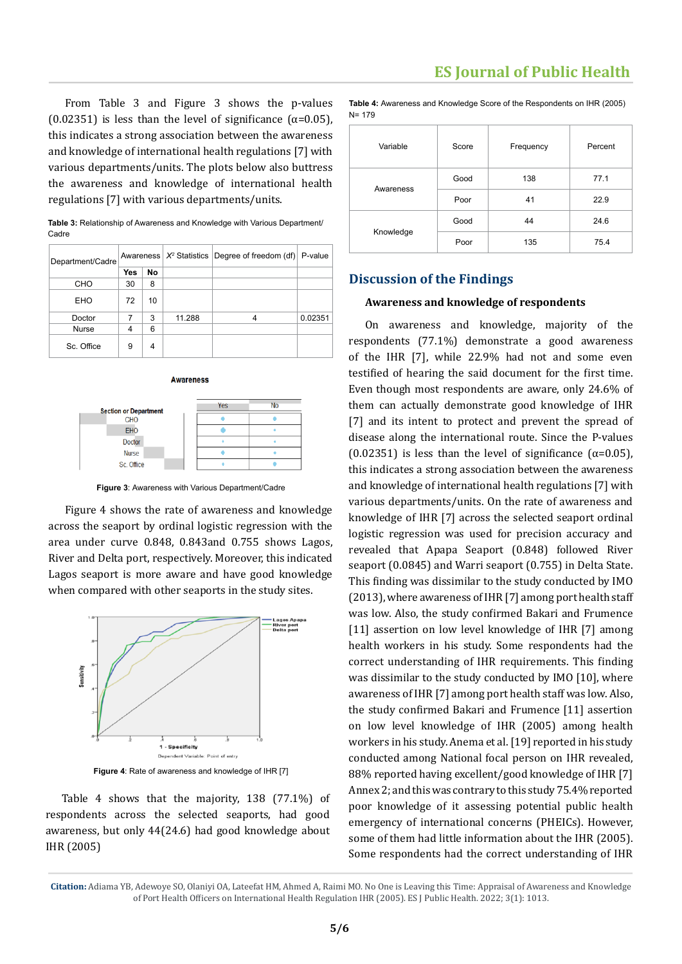From Table 3 and Figure 3 shows the p-values (0.02351) is less than the level of significance ( $\alpha$ =0.05), this indicates a strong association between the awareness and knowledge of international health regulations [7] with various departments/units. The plots below also buttress the awareness and knowledge of international health regulations [7] with various departments/units.

**Table 3:** Relationship of Awareness and Knowledge with Various Department/ Cadre

|  | Department/Cadre |     |    |        | Awareness $ X^2$ Statistics Degree of freedom (df) P-value |         |
|--|------------------|-----|----|--------|------------------------------------------------------------|---------|
|  |                  | Yes | No |        |                                                            |         |
|  | CHO              | 30  | 8  |        |                                                            |         |
|  | <b>EHO</b>       | 72  | 10 |        |                                                            |         |
|  | Doctor           | 7   | 3  | 11.288 |                                                            | 0.02351 |
|  | Nurse            |     | 6  |        |                                                            |         |
|  | Sc. Office       | 9   | 4  |        |                                                            |         |



**Awareness** 

**Figure 3**: Awareness with Various Department/Cadre

Figure 4 shows the rate of awareness and knowledge across the seaport by ordinal logistic regression with the area under curve 0.848, 0.843and 0.755 shows Lagos, River and Delta port, respectively. Moreover, this indicated Lagos seaport is more aware and have good knowledge when compared with other seaports in the study sites.



**Figure 4**: Rate of awareness and knowledge of IHR [7]

Table 4 shows that the majority, 138 (77.1%) of respondents across the selected seaports, had good awareness, but only 44(24.6) had good knowledge about IHR (2005)

**Table 4:** Awareness and Knowledge Score of the Respondents on IHR (2005) N= 179

| Variable  | Score | Frequency | Percent |
|-----------|-------|-----------|---------|
|           | Good  | 138       | 77.1    |
| Awareness | Poor  | 41        | 22.9    |
|           | Good  | 44        | 24.6    |
| Knowledge | Poor  | 135       | 75.4    |

## **Discussion of the Findings**

#### **Awareness and knowledge of respondents**

On awareness and knowledge, majority of the respondents (77.1%) demonstrate a good awareness of the IHR [7], while 22.9% had not and some even testified of hearing the said document for the first time. Even though most respondents are aware, only 24.6% of them can actually demonstrate good knowledge of IHR [7] and its intent to protect and prevent the spread of disease along the international route. Since the P-values (0.02351) is less than the level of significance ( $\alpha$ =0.05), this indicates a strong association between the awareness and knowledge of international health regulations [7] with various departments/units. On the rate of awareness and knowledge of IHR [7] across the selected seaport ordinal logistic regression was used for precision accuracy and revealed that Apapa Seaport (0.848) followed River seaport (0.0845) and Warri seaport (0.755) in Delta State. This finding was dissimilar to the study conducted by IMO (2013), where awareness of IHR [7] among port health staff was low. Also, the study confirmed Bakari and Frumence [11] assertion on low level knowledge of IHR [7] among health workers in his study. Some respondents had the correct understanding of IHR requirements. This finding was dissimilar to the study conducted by IMO [10], where awareness of IHR [7] among port health staff was low. Also, the study confirmed Bakari and Frumence [11] assertion on low level knowledge of IHR (2005) among health workers in his study. Anema et al. [19] reported in his study conducted among National focal person on IHR revealed, 88% reported having excellent/good knowledge of IHR [7] Annex 2; and this was contrary to this study 75.4% reported poor knowledge of it assessing potential public health emergency of international concerns (PHEICs). However, some of them had little information about the IHR (2005). Some respondents had the correct understanding of IHR

**Citation:** Adiama YB, Adewoye SO, Olaniyi OA, Lateefat HM, Ahmed A, Raimi MO. No One is Leaving this Time: Appraisal of Awareness and Knowledge of Port Health Officers on International Health Regulation IHR (2005). ES J Public Health. 2022; 3(1): 1013.